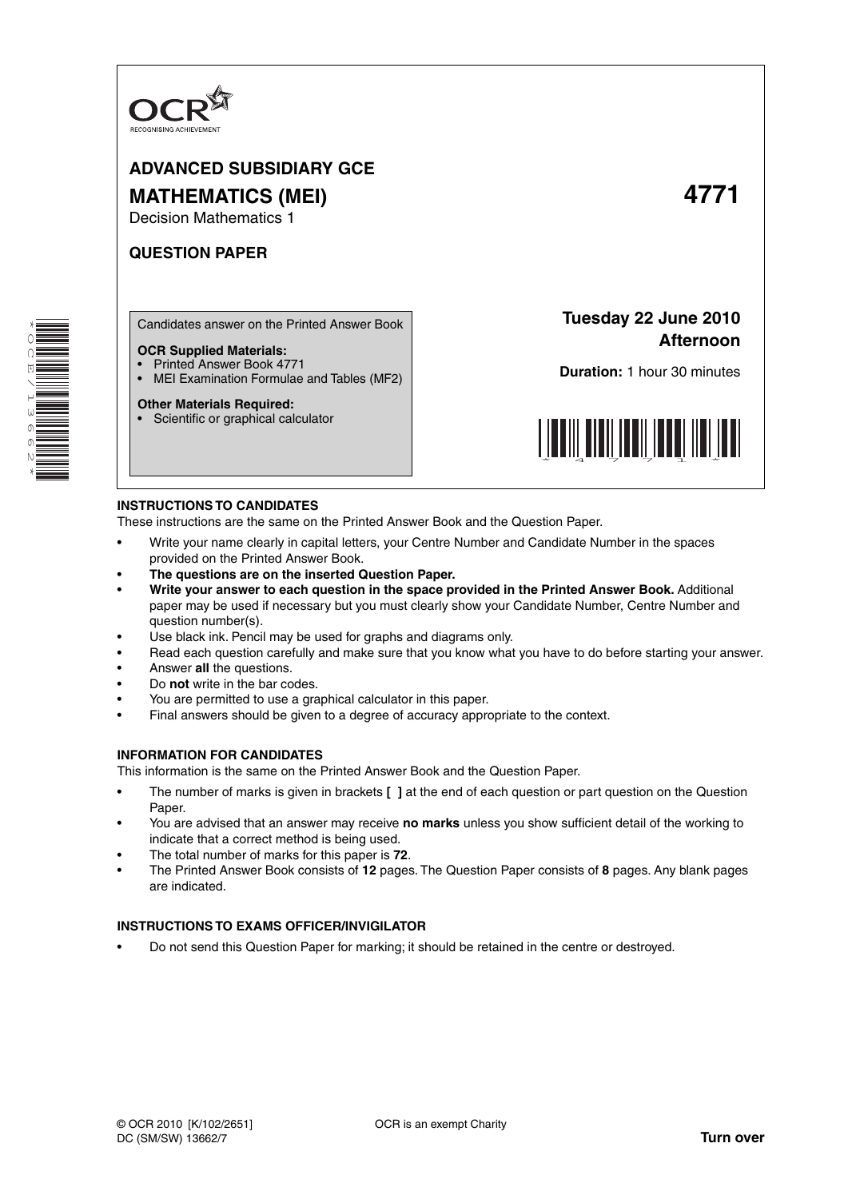

# **ADVANCED SUBSIDIARY GCE MATHEMATICS (MEI) 4771**

Decision Mathematics 1

# **QUESTION PAPER**

Candidates answer on the Printed Answer Book

#### **OCR Supplied Materials:**

- Printed Answer Book 4771
- MEI Examination Formulae and Tables (MF2)

#### **Other Materials Required:**

Scientific or graphical calculator

**Tuesday 22 June 2010 Afternoon**

**Duration:** 1 hour 30 minutes



#### **INSTRUCTIONS TO CANDIDATES**

These instructions are the same on the Printed Answer Book and the Question Paper.

- Write your name clearly in capital letters, your Centre Number and Candidate Number in the spaces provided on the Printed Answer Book.
- **The questions are on the inserted Question Paper.**
- **Write your answer to each question in the space provided in the Printed Answer Book.** Additional paper may be used if necessary but you must clearly show your Candidate Number, Centre Number and question number(s).
- Use black ink. Pencil may be used for graphs and diagrams only.
- Read each question carefully and make sure that you know what you have to do before starting your answer.
- Answer **all** the questions.
- Do **not** write in the bar codes.
- You are permitted to use a graphical calculator in this paper.
- Final answers should be given to a degree of accuracy appropriate to the context.

### **INFORMATION FOR CANDIDATES**

This information is the same on the Printed Answer Book and the Question Paper.

- The number of marks is given in brackets **[ ]** at the end of each question or part question on the Question Paper.
- You are advised that an answer may receive **no marks** unless you show sufficient detail of the working to indicate that a correct method is being used.
- The total number of marks for this paper is **72**.
- The Printed Answer Book consists of **12** pages. The Question Paper consists of **8** pages. Any blank pages are indicated.

#### **INSTRUCTIONS TO EXAMS OFFICER/INVIGILATOR**

• Do not send this Question Paper for marking; it should be retained in the centre or destroyed.

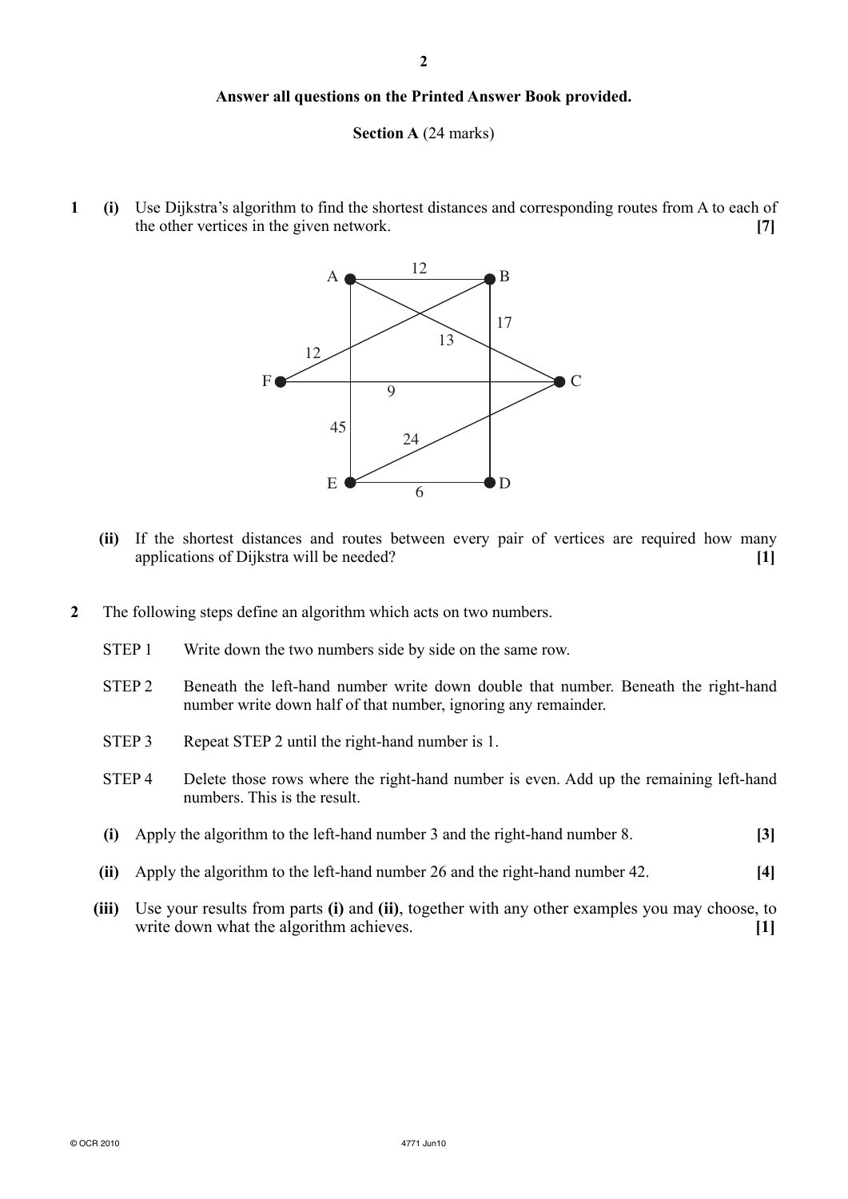# **Answer all questions on the Printed Answer Book provided.**

# **Section A** (24 marks)

**1 (i)** Use Dijkstra's algorithm to find the shortest distances and corresponding routes from A to each of the other vertices in the given network. **[7]**



- **(ii)** If the shortest distances and routes between every pair of vertices are required how many applications of Dijkstra will be needed? **[1]**
- **2** The following steps define an algorithm which acts on two numbers.
	- STEP 1 Write down the two numbers side by side on the same row.
	- STEP 2 Beneath the left-hand number write down double that number. Beneath the right-hand number write down half of that number, ignoring any remainder.
	- STEP 3 Repeat STEP 2 until the right-hand number is 1.
	- STEP 4 Delete those rows where the right-hand number is even. Add up the remaining left-hand numbers. This is the result.
	- **(i)** Apply the algorithm to the left-hand number 3 and the right-hand number 8. **[3]**
	- **(ii)** Apply the algorithm to the left-hand number 26 and the right-hand number 42. **[4]**
	- **(iii)** Use your results from parts **(i)** and **(ii)**, together with any other examples you may choose, to write down what the algorithm achieves. **[1]**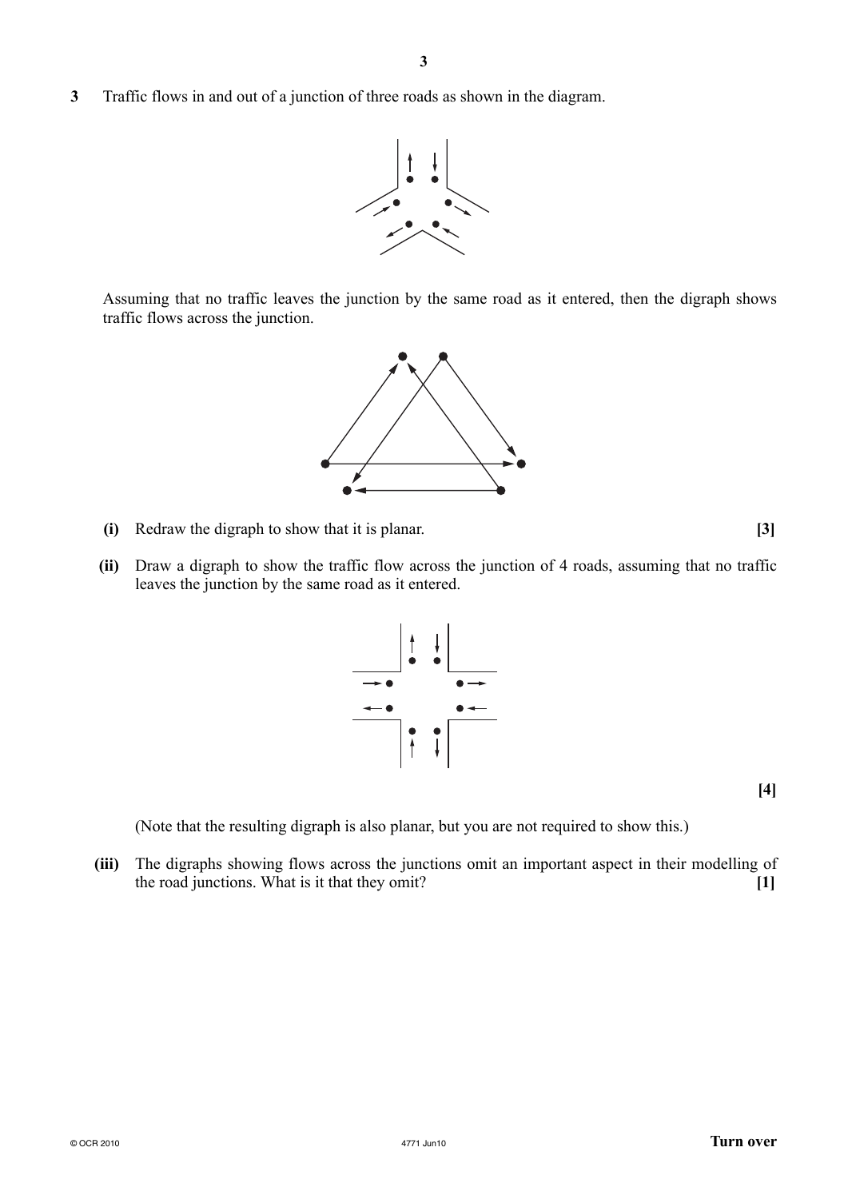**3** Traffic flows in and out of a junction of three roads as shown in the diagram.



 Assuming that no traffic leaves the junction by the same road as it entered, then the digraph shows traffic flows across the junction.



- **(i)** Redraw the digraph to show that it is planar. **[3]**
- **(ii)** Draw a digraph to show the traffic flow across the junction of 4 roads, assuming that no traffic leaves the junction by the same road as it entered.



**[4]**

(Note that the resulting digraph is also planar, but you are not required to show this.)

 **(iii)** The digraphs showing flows across the junctions omit an important aspect in their modelling of the road junctions. What is it that they omit? **[1]**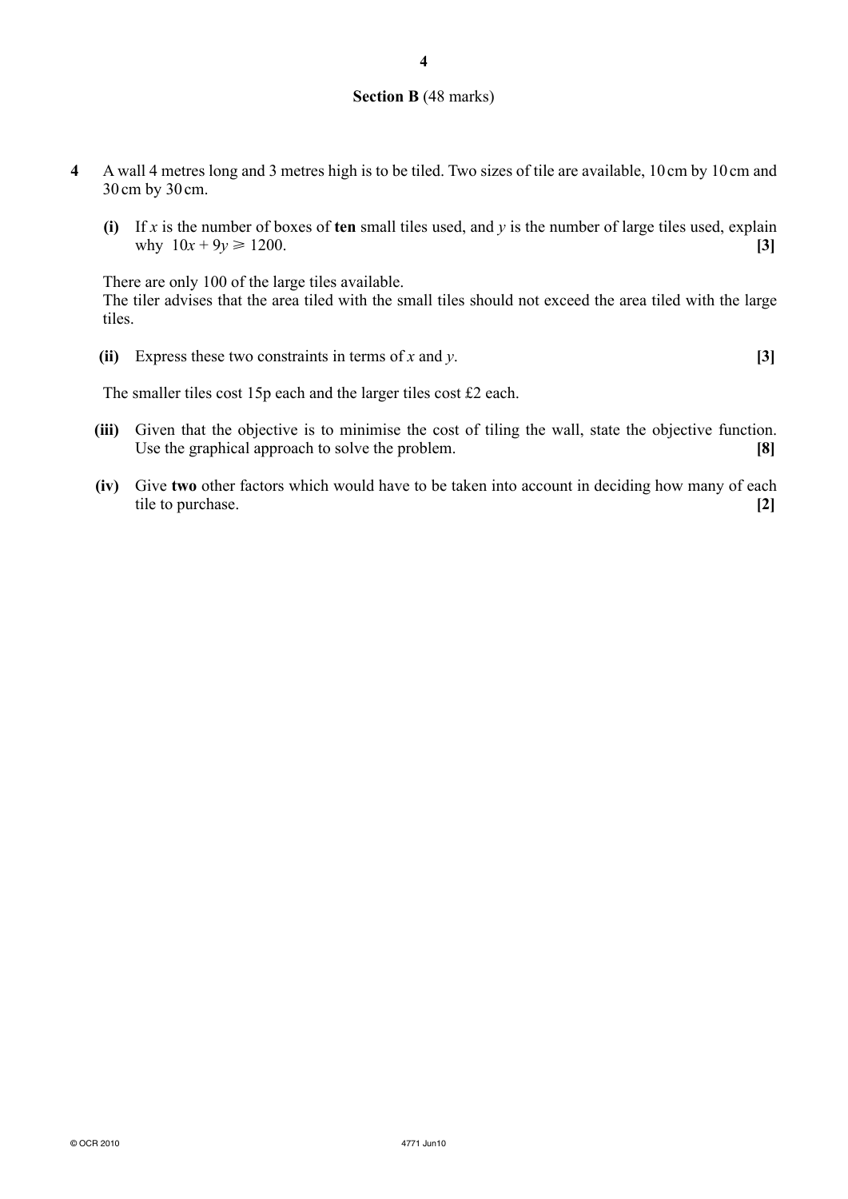### **Section B** (48 marks)

- **4** A wall 4 metres long and 3 metres high is to be tiled. Two sizes of tile are available, 10 cm by 10 cm and 30 cm by 30 cm.
	- **(i)** If *x* is the number of boxes of **ten** small tiles used, and  $y$  is the number of large tiles used, explain why  $10x + 9y \ge 1200$ . 1200. **[3]**

There are only 100 of the large tiles available.

The tiler advises that the area tiled with the small tiles should not exceed the area tiled with the large tiles.

 **(ii)** Express these two constraints in terms of *x* and *y*. **[3]**

The smaller tiles cost 15p each and the larger tiles cost £2 each.

- **(iii)** Given that the objective is to minimise the cost of tiling the wall, state the objective function. Use the graphical approach to solve the problem. **[8]**
- **(iv)** Give **two** other factors which would have to be taken into account in deciding how many of each tile to purchase. **[2]**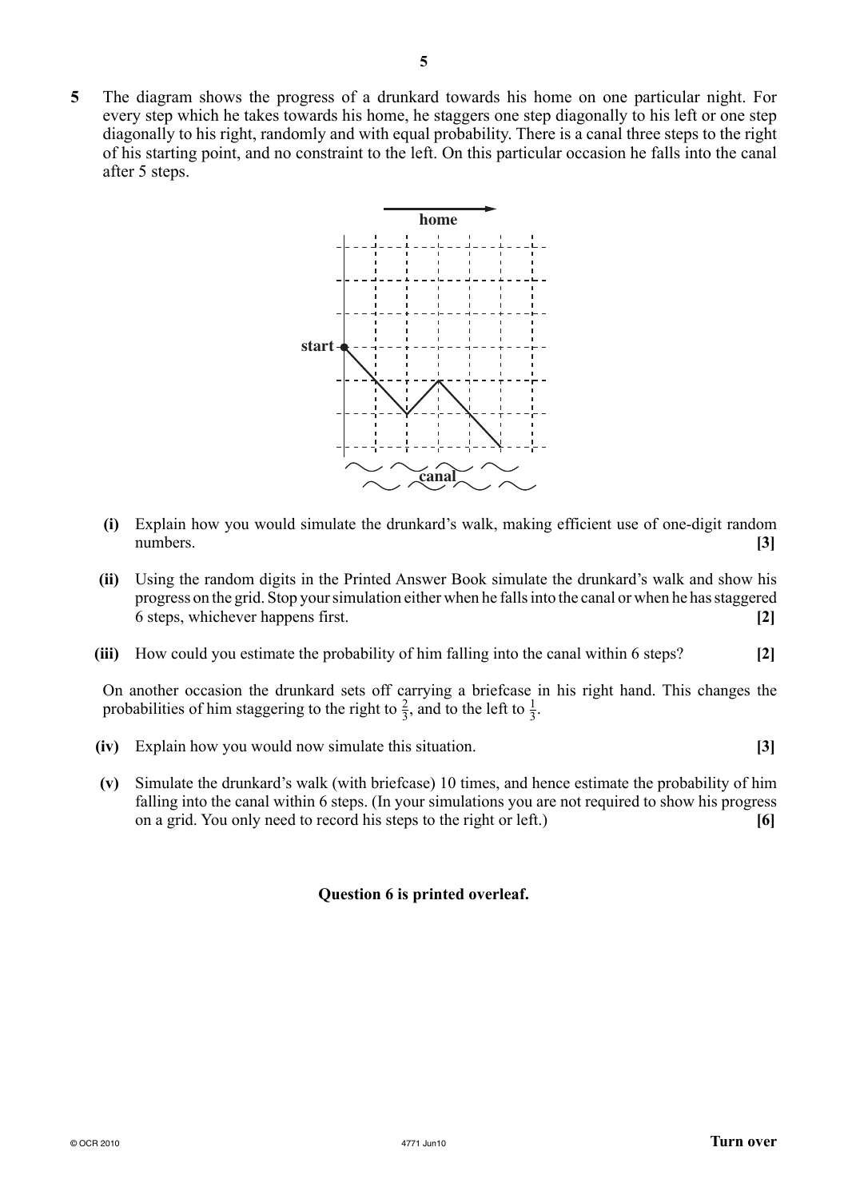**5** The diagram shows the progress of a drunkard towards his home on one particular night. For every step which he takes towards his home, he staggers one step diagonally to his left or one step diagonally to his right, randomly and with equal probability. There is a canal three steps to the right of his starting point, and no constraint to the left. On this particular occasion he falls into the canal after 5 steps.



- **(i)** Explain how you would simulate the drunkard's walk, making efficient use of one-digit random numbers. **[3]**
- **(ii)** Using the random digits in the Printed Answer Book simulate the drunkard's walk and show his progress on the grid. Stop your simulation either when he falls into the canal or when he has staggered 6 steps, whichever happens first. **[2]**
- **(iii)** How could you estimate the probability of him falling into the canal within 6 steps? **[2]**

On another occasion the drunkard sets off carrying a briefcase in his right hand. This changes the probabilities of him staggering to the right to  $\frac{2}{3}$ , and to the left to  $\frac{1}{3}$ .

- **(iv)** Explain how you would now simulate this situation. **[3]**
- **(v)** Simulate the drunkard's walk (with briefcase) 10 times, and hence estimate the probability of him falling into the canal within 6 steps. (In your simulations you are not required to show his progress on a grid. You only need to record his steps to the right or left.) **[6]**

# **Question 6 is printed overleaf.**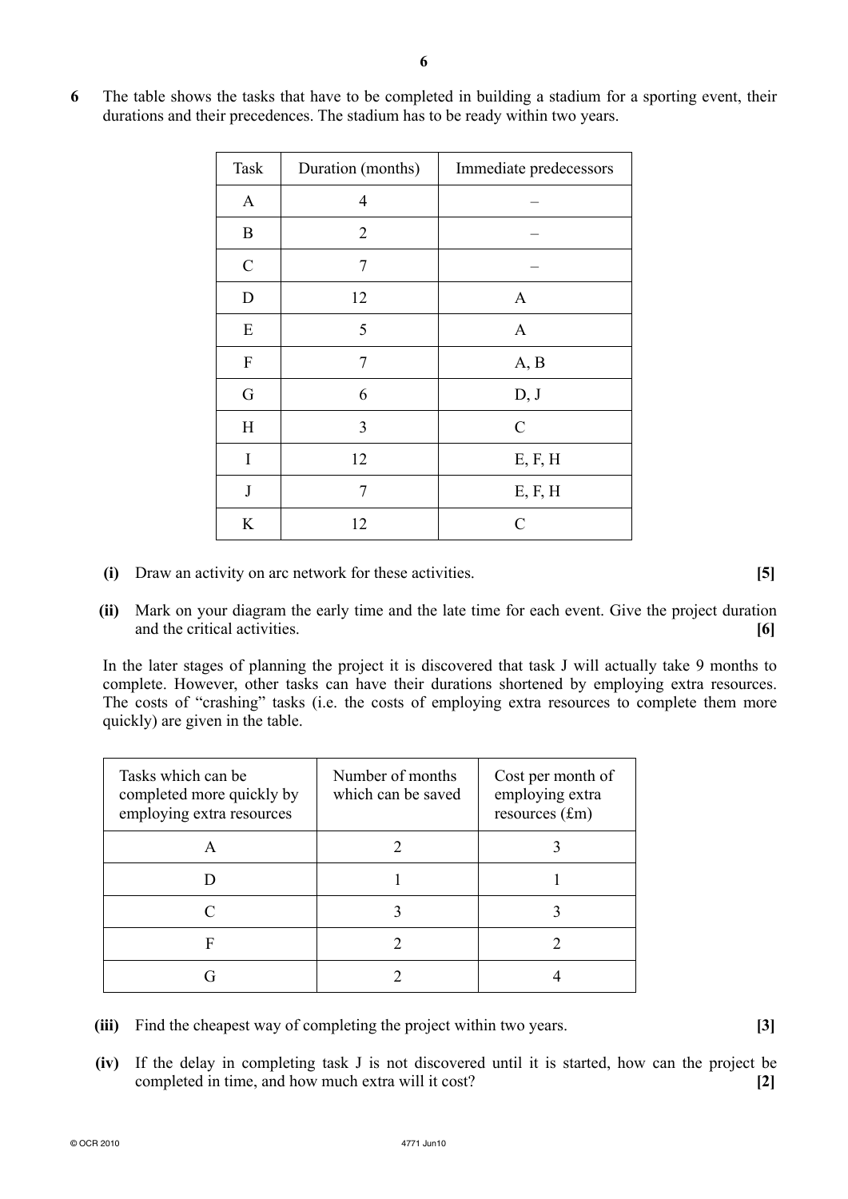| A            |   | o              |
|--------------|---|----------------|
| D            |   |                |
| $\mathsf{C}$ |   | $\overline{a}$ |
| F            | 2 | $\overline{2}$ |
| G            |   | $\Lambda$      |

Number of months which can be saved

 **(iv)** If the delay in completing task J is not discovered until it is started, how can the project be completed in time, and how much extra will it cost? **[2]**

Tasks which can be

completed more quickly by employing extra resources

**6**

| Task                      | Duration (months) | Immediate predecessors |
|---------------------------|-------------------|------------------------|
| $\mathbf{A}$              | $\overline{4}$    |                        |
| B                         | $\overline{2}$    |                        |
| $\mathcal{C}$             | 7                 |                        |
| D                         | 12                | A                      |
| E                         | 5                 | A                      |
| $\boldsymbol{\mathrm{F}}$ | 7                 | A, B                   |
| G                         | 6                 | D, J                   |
| H                         | 3                 | $\mathcal{C}$          |
| I                         | 12                | E, F, H                |
| $\bf J$                   | 7                 | E, F, H                |
| K                         | 12                | $\subset$              |

- **(i)** Draw an activity on arc network for these activities. **[5]**
- **(ii)** Mark on your diagram the early time and the late time for each event. Give the project duration and the critical activities. **[6]**

In the later stages of planning the project it is discovered that task J will actually take 9 months to complete. However, other tasks can have their durations shortened by employing extra resources. The costs of "crashing" tasks (i.e. the costs of employing extra resources to complete them more quickly) are given in the table.

> Cost per month of employing extra resources (£m)

| ┍ |  |
|---|--|
|   |  |
|   |  |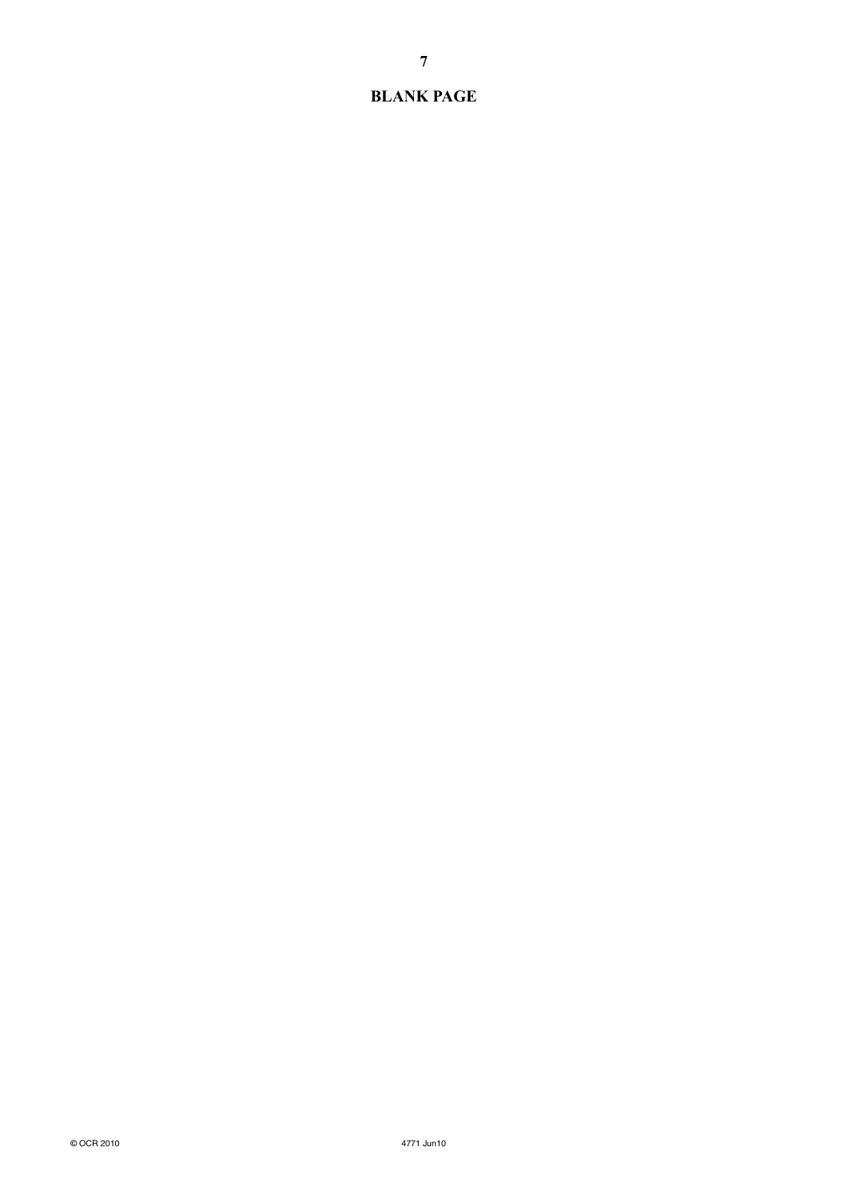# **BLANK PAGE**